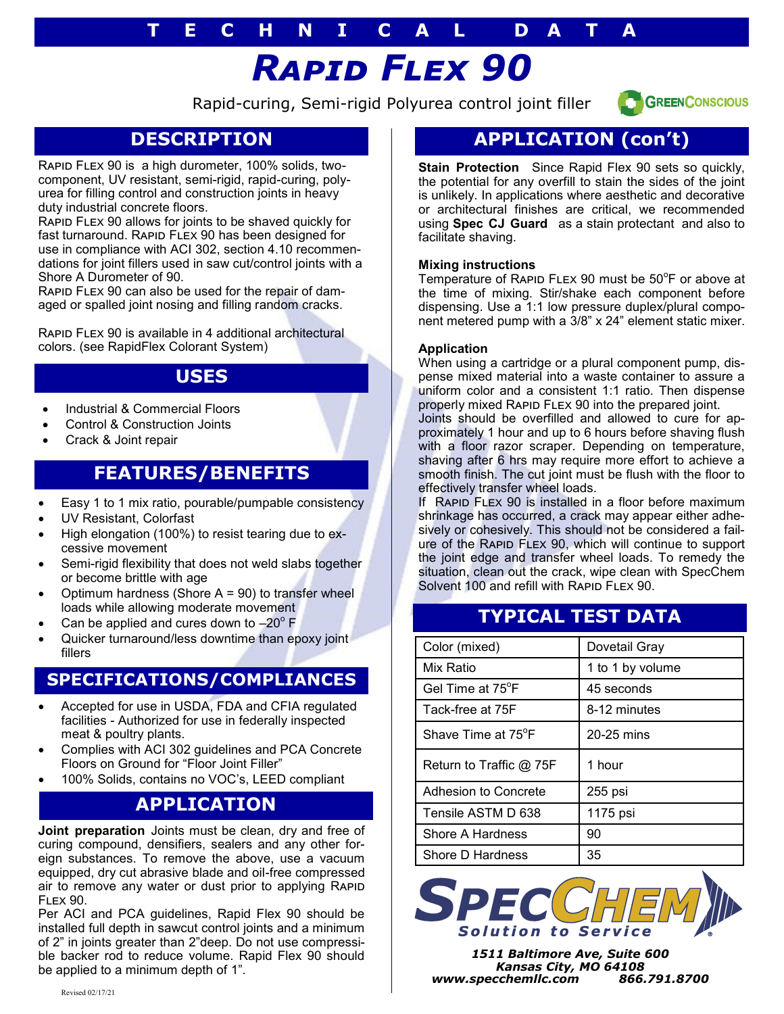# **T E C H N I C A L D A T A**

# *Rapid Flex 90*

Rapid-curing, Semi-rigid Polyurea control joint filler



# **DESCRIPTION**

Rapid Flex 90 is a high durometer, 100% solids, twocomponent, UV resistant, semi-rigid, rapid-curing, polyurea for filling control and construction joints in heavy duty industrial concrete floors.

Rapid Flex 90 allows for joints to be shaved quickly for fast turnaround. RAPID FLEX 90 has been designed for use in compliance with ACI 302, section 4.10 recommendations for joint fillers used in saw cut/control joints with a Shore A Durometer of 90.

Rapid Flex 90 can also be used for the repair of damaged or spalled joint nosing and filling random cracks.

Rapid Flex 90 is available in 4 additional architectural colors. (see RapidFlex Colorant System)

#### **USES**

- Industrial & Commercial Floors
- Control & Construction Joints
- Crack & Joint repair

# **FEATURES/BENEFITS**

- Easy 1 to 1 mix ratio, pourable/pumpable consistency
- UV Resistant, Colorfast
- High elongation (100%) to resist tearing due to excessive movement
- Semi-rigid flexibility that does not weld slabs together or become brittle with age
- Optimum hardness (Shore  $A = 90$ ) to transfer wheel loads while allowing moderate movement
- Can be applied and cures down to  $-20^{\circ}$  F
- Quicker turnaround/less downtime than epoxy joint differential distribution of the color (mixed) Color (mixed) Dovetail Gray

#### **SPECIFICATIONS/COMPLIANCES**

- Accepted for use in USDA, FDA and CFIA regulated facilities - Authorized for use in federally inspected meat & poultry plants.
- Complies with ACI 302 guidelines and PCA Concrete Floors on Ground for "Floor Joint Filler"
- 100% Solids, contains no VOC's, LEED compliant

## **APPLICATION**

**Joint preparation** Joints must be clean, dry and free of curing compound, densifiers, sealers and any other foreign substances. To remove the above, use a vacuum equipped, dry cut abrasive blade and oil-free compressed air to remove any water or dust prior to applying RAPID Flex 90.

Per ACI and PCA guidelines, Rapid Flex 90 should be installed full depth in sawcut control joints and a minimum of 2" in joints greater than 2"deep. Do not use compressible backer rod to reduce volume. Rapid Flex 90 should be applied to a minimum depth of 1".

# **APPLICATION (con't)**

**Stain Protection** Since Rapid Flex 90 sets so quickly, the potential for any overfill to stain the sides of the joint is unlikely. In applications where aesthetic and decorative or architectural finishes are critical, we recommended using **Spec CJ Guard** as a stain protectant and also to facilitate shaving.

#### **Mixing instructions**

Temperature of RAPID FLEX 90 must be 50°F or above at the time of mixing. Stir/shake each component before dispensing. Use a 1:1 low pressure duplex/plural component metered pump with a 3/8" x 24" element static mixer.

#### **Application**

When using a cartridge or a plural component pump, dispense mixed material into a waste container to assure a uniform color and a consistent 1:1 ratio. Then dispense properly mixed Rapid Flex 90 into the prepared joint.

Joints should be overfilled and allowed to cure for approximately 1 hour and up to 6 hours before shaving flush with a floor razor scraper. Depending on temperature, shaving after 6 hrs may require more effort to achieve a smooth finish. The cut joint must be flush with the floor to effectively transfer wheel loads.

If RAPID FLEX 90 is installed in a floor before maximum shrinkage has occurred, a crack may appear either adhesively or cohesively. This should not be considered a failure of the Rapid Flex 90, which will continue to support the joint edge and transfer wheel loads. To remedy the situation, clean out the crack, wipe clean with SpecChem Solvent 100 and refill with RAPID FLEX 90.

## **TYPICAL TEST DATA**

| Color (mixed)                   | Dovetail Gray    |  |
|---------------------------------|------------------|--|
| Mix Ratio                       | 1 to 1 by volume |  |
| Gel Time at 75°F                | 45 seconds       |  |
| Tack-free at 75F                | 8-12 minutes     |  |
| Shave Time at 75 <sup>°</sup> F | 20-25 mins       |  |
| Return to Traffic $@$ 75F       | 1 hour           |  |
| Adhesion to Concrete            | 255 psi          |  |
| Tensile ASTM D 638              | 1175 psi         |  |
| Shore A Hardness                | 90               |  |
| Shore D Hardness                | 35               |  |



*1511 Baltimore Ave, Suite 600 Kansas City, MO 64108 www.specchemllc.com 866.791.8700*